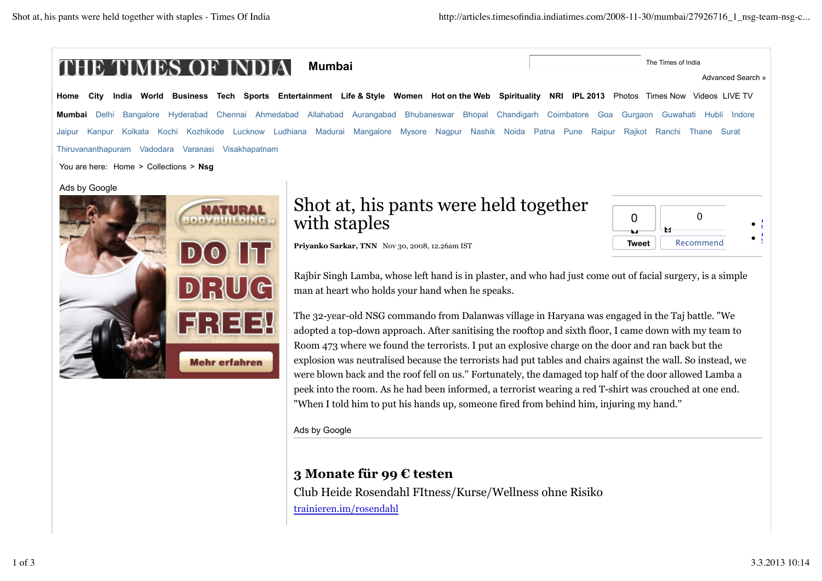

Rajbir Singh Lamba, whose left hand is in plaster, and who had just come out of facial surgery, is a simple man at heart who holds your hand when he speaks.

The 32-year-old NSG commando from Dalanwas village in Haryana was engaged in the Taj battle. "We adopted a top-down approach. After sanitising the rooftop and sixth floor, I came down with my team to Room 473 where we found the terrorists. I put an explosive charge on the door and ran back but the explosion was neutralised because the terrorists had put tables and chairs against the wall. So instead, we were blown back and the roof fell on us.'' Fortunately, the damaged top half of the door allowed Lamba a peek into the room. As he had been informed, a terrorist wearing a red T-shirt was crouched at one end. "When I told him to put his hands up, someone fired from behind him, injuring my hand.''

Ads by Google

 $D$  ,  $U$   $C$ 

| 귀 : 김 킈 킈

**Mehr erfahren** 

## **3 Monate für 99 € testen**

Club Heide Rosendahl FItness/Kurse/Wellness ohne Risiko trainieren.im/rosendahl